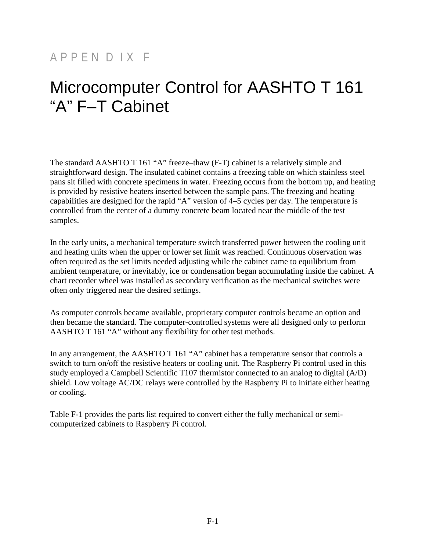## APPEN D IX F

## Microcomputer Control for AASHTO T 161 "A" F–T Cabinet

The standard AASHTO T 161 "A" freeze–thaw (F-T) cabinet is a relatively simple and straightforward design. The insulated cabinet contains a freezing table on which stainless steel pans sit filled with concrete specimens in water. Freezing occurs from the bottom up, and heating is provided by resistive heaters inserted between the sample pans. The freezing and heating capabilities are designed for the rapid "A" version of 4–5 cycles per day. The temperature is controlled from the center of a dummy concrete beam located near the middle of the test samples.

In the early units, a mechanical temperature switch transferred power between the cooling unit and heating units when the upper or lower set limit was reached. Continuous observation was often required as the set limits needed adjusting while the cabinet came to equilibrium from ambient temperature, or inevitably, ice or condensation began accumulating inside the cabinet. A chart recorder wheel was installed as secondary verification as the mechanical switches were often only triggered near the desired settings.

As computer controls became available, proprietary computer controls became an option and then became the standard. The computer-controlled systems were all designed only to perform AASHTO T 161 "A" without any flexibility for other test methods.

In any arrangement, the AASHTO T 161 "A" cabinet has a temperature sensor that controls a switch to turn on/off the resistive heaters or cooling unit. The Raspberry Pi control used in this study employed a Campbell Scientific T107 thermistor connected to an analog to digital (A/D) shield. Low voltage AC/DC relays were controlled by the Raspberry Pi to initiate either heating or cooling.

Table F-1 provides the parts list required to convert either the fully mechanical or semicomputerized cabinets to Raspberry Pi control.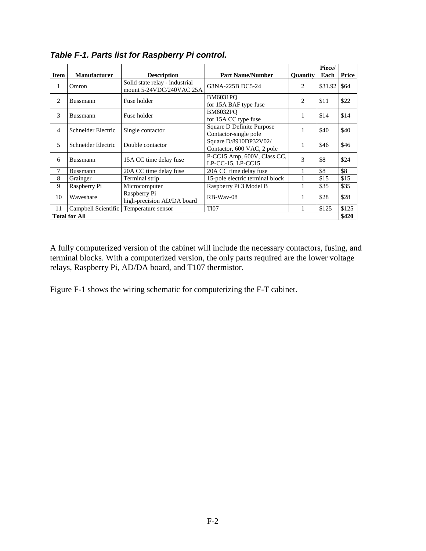|                      |                     |                                                            |                                                       |                 | Piece/  |       |
|----------------------|---------------------|------------------------------------------------------------|-------------------------------------------------------|-----------------|---------|-------|
| <b>Item</b>          | <b>Manufacturer</b> | <b>Description</b>                                         | <b>Part Name/Number</b>                               | <b>Ouantity</b> | Each    | Price |
| 1                    | Omron               | Solid state relay - industrial<br>mount 5-24VDC/240VAC 25A | G3NA-225B DC5-24                                      | 2               | \$31.92 | \$64  |
| $\overline{c}$       | Bussmann            | Fuse holder                                                | <b>BM6031PO</b><br>for 15A BAF type fuse              | 2               | \$11    | \$22  |
| 3                    | <b>Bussmann</b>     | Fuse holder                                                | <b>BM6032PO</b><br>for 15A CC type fuse               | 1               | \$14    | \$14  |
| 4                    | Schneider Electric  | Single contactor                                           | Square D Definite Purpose<br>Contactor-single pole    | 1               | \$40    | \$40  |
| 5                    | Schneider Electric  | Double contactor                                           | Square D/8910DP32V02/<br>Contactor, 600 VAC, 2 pole   | 1               | \$46    | \$46  |
| 6                    | <b>Bussmann</b>     | 15A CC time delay fuse                                     | P-CC15 Amp, 600V, Class CC,<br>$LP-CC-15$ , $LP-CC15$ | 3               | \$8     | \$24  |
| 7                    | Bussmann            | 20A CC time delay fuse                                     | 20A CC time delay fuse                                |                 | \$8     | \$8   |
| 8                    | Grainger            | Terminal strip                                             | 15-pole electric terminal block                       |                 | \$15    | \$15  |
| 9                    | Raspberry Pi        | Microcomputer                                              | Raspberry Pi 3 Model B                                |                 | \$35    | \$35  |
| 10                   | Waveshare           | Raspberry Pi<br>high-precision AD/DA board                 | RB-Way-08                                             | 1               | \$28    | \$28  |
| 11                   | Campbell Scientific | Temperature sensor                                         | <b>T107</b>                                           |                 | \$125   | \$125 |
| <b>Total for All</b> |                     |                                                            |                                                       |                 |         | \$420 |

*Table F-1. Parts list for Raspberry Pi control.* 

A fully computerized version of the cabinet will include the necessary contactors, fusing, and terminal blocks. With a computerized version, the only parts required are the lower voltage relays, Raspberry Pi, AD/DA board, and T107 thermistor.

Figure F-1 shows the wiring schematic for computerizing the F-T cabinet.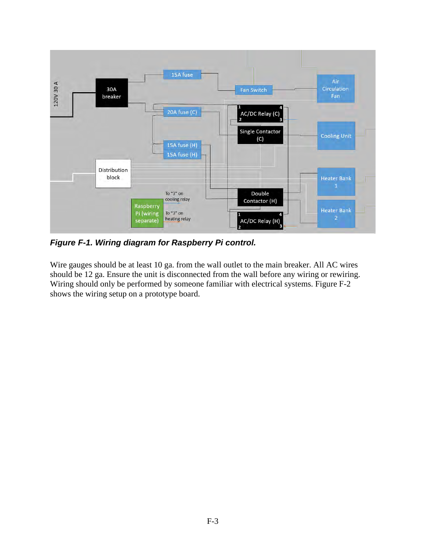

*Figure F-1. Wiring diagram for Raspberry Pi control.* 

Wire gauges should be at least 10 ga. from the wall outlet to the main breaker. All AC wires should be 12 ga. Ensure the unit is disconnected from the wall before any wiring or rewiring. Wiring should only be performed by someone familiar with electrical systems. Figure F-2 shows the wiring setup on a prototype board.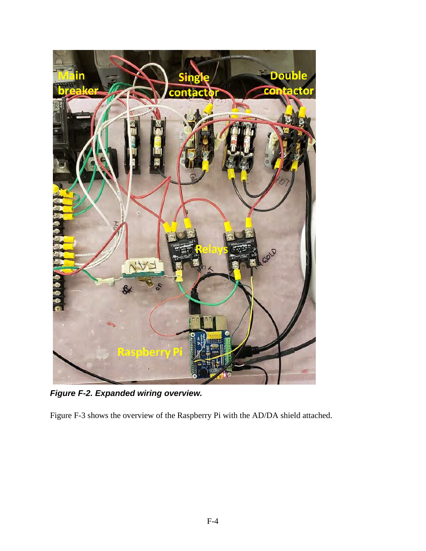

*Figure F-2. Expanded wiring overview.* 

Figure F-3 shows the overview of the Raspberry Pi with the AD/DA shield attached.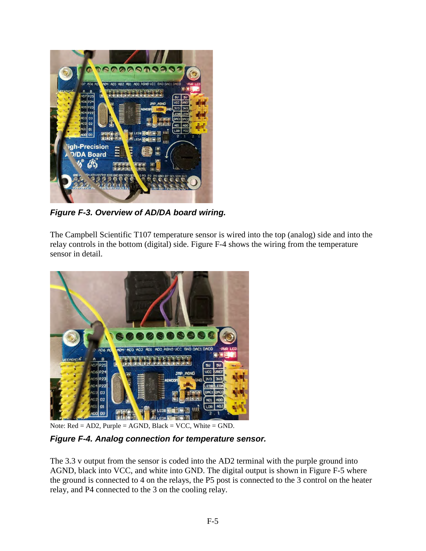

*Figure F-3. Overview of AD/DA board wiring.* 

The Campbell Scientific T107 temperature sensor is wired into the top (analog) side and into the relay controls in the bottom (digital) side. Figure F-4 shows the wiring from the temperature sensor in detail.



Note:  $Red = AD2$ ,  $Purple = AGND$ ,  $Black = VCC$ ,  $White = GND$ .

*Figure F-4. Analog connection for temperature sensor.* 

The 3.3 v output from the sensor is coded into the AD2 terminal with the purple ground into AGND, black into VCC, and white into GND. The digital output is shown in Figure F-5 where the ground is connected to 4 on the relays, the P5 post is connected to the 3 control on the heater relay, and P4 connected to the 3 on the cooling relay.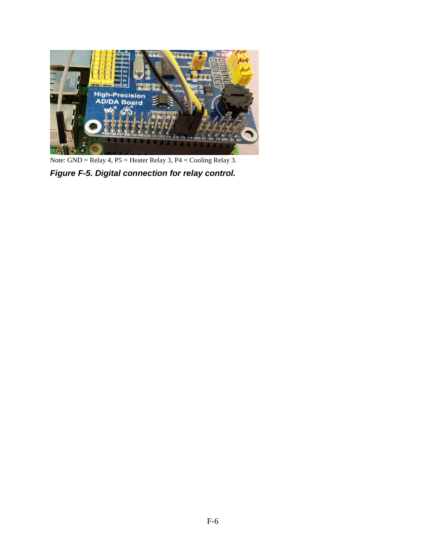

Note: GND = Relay 4, P5 = Heater Relay 3, P4 = Cooling Relay 3.

*Figure F-5. Digital connection for relay control.*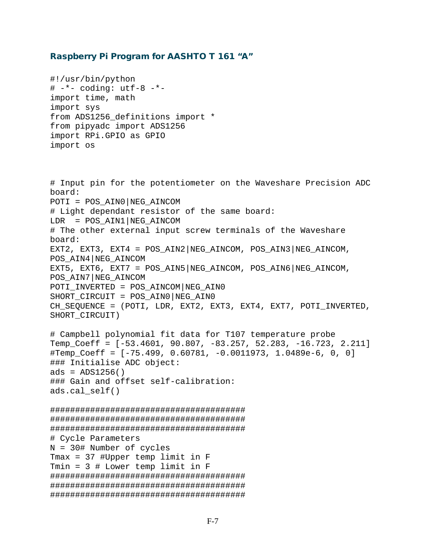## Raspberry Pi Program for AASHTO T 161 "A"

#!/usr/bin/python  $#$   $-*$ - coding: utf-8  $-*$ import time, math import sys from ADS1256\_definitions import \* from pipyadc import ADS1256 import RPi.GPIO as GPIO import os

# Input pin for the potentiometer on the Waveshare Precision ADC board: POTI = POS\_AIN0|NEG\_AINCOM # Light dependant resistor of the same board:  $LDR = POS AIN1|NEG AINCON$ # The other external input screw terminals of the Waveshare board: EXT2, EXT3, EXT4 =  $POS\_AIN2|NEG\_AINCOM$ ,  $POS\_AIN3|NEG\_AINCOM$ , POS\_AIN4|NEG\_AINCOM EXT5, EXT6, EXT7 = POS AIN5|NEG AINCOM, POS AIN6|NEG AINCOM, POS\_AIN7|NEG\_AINCOM POTI\_INVERTED = POS\_AINCOM|NEG\_AIN0 SHORT CIRCUIT = POS AIN0 NEG AIN0 CH\_SEQUENCE = (POTI, LDR, EXT2, EXT3, EXT4, EXT7, POTI\_INVERTED, SHORT\_CIRCUIT) # Campbell polynomial fit data for T107 temperature probe Temp\_Coeff = [-53.4601, 90.807, -83.257, 52.283, -16.723, 2.211] #Temp Coeff =  $[-75.499, 0.60781, -0.0011973, 1.0489e-6, 0, 0]$ ### Initialise ADC object: ads =  $ADS1256()$ ### Gain and offset self-calibration: ads.cal\_self() ####################################### ####################################### ####################################### # Cycle Parameters N = 30# Number of cycles Tmax = 37 #Upper temp limit in F Tmin = 3 # Lower temp limit in F ####################################### ####################################### #######################################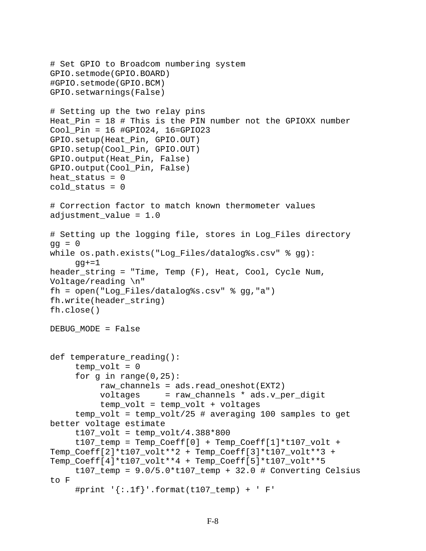```
# Set GPIO to Broadcom numbering system 
GPIO.setmode(GPIO.BOARD) 
#GPIO.setmode(GPIO.BCM) 
GPIO.setwarnings(False) 
# Setting up the two relay pins 
Heat_Pin = 18 # This is the PIN number not the GPIOXX number 
Cool_Pin = 16 #GPIO24, 16=GPIO23 
GPIO.setup(Heat_Pin, GPIO.OUT) 
GPIO.setup(Cool_Pin, GPIO.OUT) 
GPIO.output(Heat_Pin, False) 
GPIO.output(Cool_Pin, False) 
heat status = 0cold_status = 0 
# Correction factor to match known thermometer values 
adjustment_value = 1.0 
# Setting up the logging file, stores in Log_Files directory 
qa = 0while os.path.exists("Log_Files/datalog%s.csv" % gg): 
     qq+=1header_string = "Time, Temp (F), Heat, Cool, Cycle Num, 
Voltage/reading \n" 
fh = open("Log Files/datalog's.csv" % qq,"a")fh.write(header_string) 
fh.close() 
DEBUG_MODE = False 
def temperature reading():
     temp volt = 0for q in range(0, 25):
           raw_channels = ads.read_oneshot(EXT2) 
           voltages = raw_channels * ads.v_per_digit 
           temp_volt = temp_volt + voltages 
      temp_volt = temp_volt/25 # averaging 100 samples to get 
better voltage estimate 
     t107 volt = temp volt/4.388*800
     t107_ttemp = Temp_Coeff[0] + Temp_Coeff[1]*t107_vvolt +
Temp_Coeff[2]*t107_volt**2 + Temp_Coeff[3]*t107_volt**3 + 
Temp_Coeff[4]*t107_volt**4 + Temp_Coeff[5]*t107_volt**5 
     t107_temp = 9.0/5.0*t107_temp + 32.0 # Converting Celsius
to F 
     #print \{\cdot, 1f\}'.format(t107_temp) + ' F'
```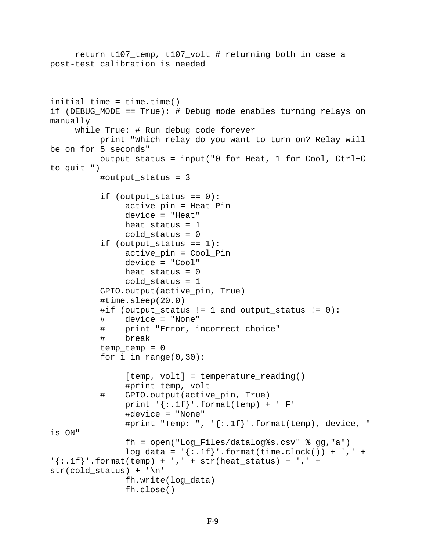```
 return t107_temp, t107_volt # returning both in case a 
post-test calibration is needed 
initial_time = time.time()if (DEBUG_MODE == True): # Debug mode enables turning relays on 
manually 
      while True: # Run debug code forever 
           print "Which relay do you want to turn on? Relay will 
be on for 5 seconds" 
           output_status = input("0 for Heat, 1 for Cool, Ctrl+C 
to quit ") 
           #output_status = 3 
           if (output_status == 0): 
                 active_pin = Heat_Pin 
                 device = "Heat" 
                heat status = 1cold status = 0if (output status == 1):
                 active_pin = Cool_Pin 
                 device = "Cool" 
                heat_status = 0cold status = 1 GPIO.output(active_pin, True) 
            #time.sleep(20.0) 
            #if (output_status != 1 and output_status != 0): 
            # device = "None" 
            # print "Error, incorrect choice" 
                break
            temp_temp = 0 
           for i in range(0,30):
                [temp, volt] = temperature_reading()
           #print temp, volt#<br>GPIO.output(activ#
                GPIO.output(active_pin, True)
                print '\{: .1f\}'.format(temp) + ' F'
                 #device = "None" 
                #print "Temp: ", '\{:\text{If}\}'.format(temp), device, "
is ON" 
                 fh = open("Log_Files/datalog%s.csv" % gg,"a") 
                log\_data = '\{: .1f\}''.format(time.close()) + ', ' +\{\,:\,,1f\,\}'.format(temp) + ',' + str(heat_status) + ',' +
str(cold_status) + '\n' 
                 fh.write(log_data) 
                 fh.close()
```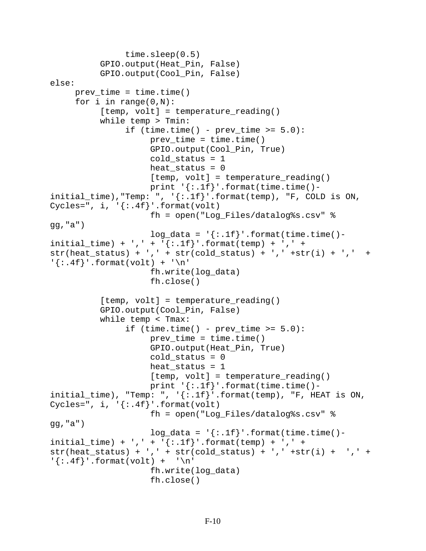```
 time.sleep(0.5) 
           GPIO.output(Heat_Pin, False) 
           GPIO.output(Cool_Pin, False) 
else: 
     prev time = time.time()
     for i in range(0,N):
           [temp, volt] = temperature_reading()
           while temp > Tmin: 
                if (time.time() - prev_time >= 5.0):
                     prev_time = time.time() GPIO.output(Cool_Pin, True) 
                     cold status = 1heat status = 0[temp, volt] = temperature\_reading()print '{:}.1f}'.format(time.time()-
initial_time), "Temp: ", \{[:.1f\}''.format(temp), "F, COLD is ON,
Cycles=", i, '\{: .4f\}'.format(volt)
                      fh = open("Log_Files/datalog%s.csv" % 
gg,"a") 
                     log\_data = \{\text{':} \text{1f}\}\text{'.format}(\text{time.time})-\text{...}initial_time) + ', ' + '\{ : .1f}'.formulastr(head_status) + ', ' + str(cold_status) + ', ' + str(c)\{\text{: }4f\}'.format(volt) + '\n'
                      fh.write(log_data) 
                      fh.close() 
           [temp, volt] = temperature_reading()
           GPIO.output(Cool_Pin, False) 
           while temp < Tmax: 
                if (time.time() - prev_time >= 5.0):
                     prev_time = time.time() GPIO.output(Heat_Pin, True) 
                     cold status = 0heat status = 1[temp, volt] = temperature reading()print '\{: .1f\}'.format(time.time()-
initial_time), "Temp: ", '\{ : .1f\}'.format(temp), "F, HEAT is ON,
Cycles=", i, '\{: .4f\}'.format(volt)
                      fh = open("Log_Files/datalog%s.csv" % 
gg,"a") 
                     log\_data = '\{: .1f\}'.format(time.time()-
initial_time) + ', ' + '\{ : .1f}'.formula. format(temp) + ',' +
str(head_status) + ', ' + str(cold_status) + ', ' + str(i)\{\div, 4f\}'.format(volt) + \ln' fh.write(log_data) 
                      fh.close()
```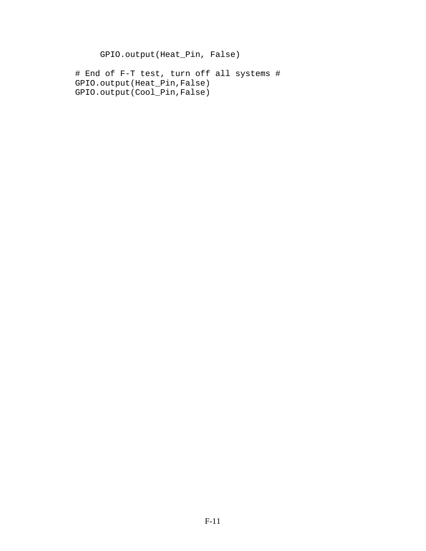GPIO.output(Heat\_Pin, False)

 # End of F-T test, turn off all systems # GPIO.output(Heat\_Pin,False) GPIO.output(Cool\_Pin,False)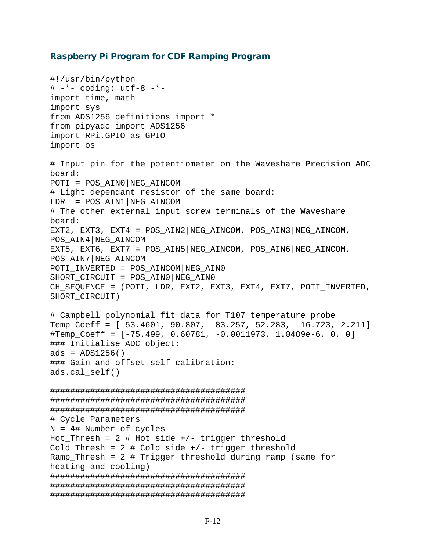## Raspberry Pi Program for CDF Ramping Program

```
#!/usr/bin/python 
# -*- coding: utf-8 -*-
import time, math 
import sys 
from ADS1256_definitions import * 
from pipyadc import ADS1256 
import RPi.GPIO as GPIO 
import os 
# Input pin for the potentiometer on the Waveshare Precision ADC 
board: 
POTI = POS_AIN0|NEG_AINCOM 
# Light dependant resistor of the same board: 
LDR = POS AIN1|NEG AINCON# The other external input screw terminals of the Waveshare 
board: 
EXT2, EXT3, EXT4 = POS AIN2 NEG AINCOM, POS AIN3 NEG AINCOM,
POS_AIN4|NEG_AINCOM 
EXT5, EXT6, EXT7 = POS_AIN5|NEG_AINCOM, POS_AIN6|NEG_AINCOM, 
POS_AIN7|NEG_AINCOM 
POTI INVERTED = POS AINCOM NEG AIN0
SHORT CIRCUIT = POS AIN0 NEG AIN0
CH_SEQUENCE = (POTI, LDR, EXT2, EXT3, EXT4, EXT7, POTI_INVERTED, 
SHORT_CIRCUIT) 
# Campbell polynomial fit data for T107 temperature probe 
Temp_Coeff = [-53.4601, 90.807, -83.257, 52.283, -16.723, 2.211] 
#Temp_Coeff = [-75.499, 0.60781, -0.0011973, 1.0489e-6, 0, 0] 
### Initialise ADC object: 
ads = ADS1256()### Gain and offset self-calibration: 
ads.cal_self() 
####################################### 
####################################### 
####################################### 
# Cycle Parameters 
N = 4# Number of cycles 
Hot Thresh = 2 # Hot side +/- trigger threshold
Cold_Thresh = 2 # Cold side +/- trigger threshold
Ramp Thresh = 2 # Trigger threshold during ramp (same for
heating and cooling) 
####################################### 
####################################### 
#######################################
```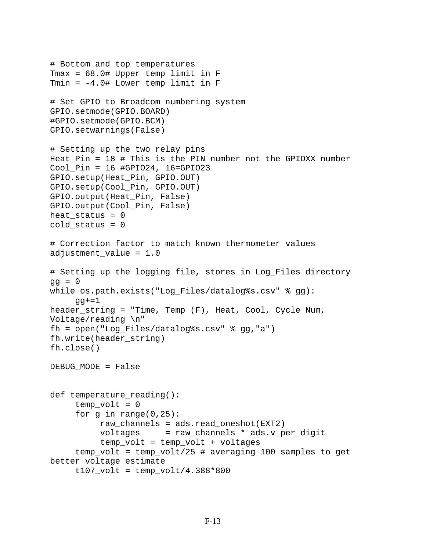```
# Bottom and top temperatures 
Tmax = 68.0# Upper temp limit in F 
Tmin = -4.0# Lower temp limit in F 
# Set GPIO to Broadcom numbering system 
GPIO.setmode(GPIO.BOARD) 
#GPIO.setmode(GPIO.BCM) 
GPIO.setwarnings(False) 
# Setting up the two relay pins 
Heat Pin = 18 # This is the PIN number not the GPIOXX number
Cool_Pin = 16 #GPIO24, 16=GPIO23 
GPIO.setup(Heat_Pin, GPIO.OUT) 
GPIO.setup(Cool_Pin, GPIO.OUT) 
GPIO.output(Heat_Pin, False) 
GPIO.output(Cool_Pin, False) 
heat status = 0cold status = 0# Correction factor to match known thermometer values 
adjustment value = 1.0# Setting up the logging file, stores in Log_Files directory 
qq = 0while os.path.exists("Log_Files/datalog%s.csv" % gg): 
     qq+=1header_string = "Time, Temp (F), Heat, Cool, Cycle Num, 
Voltage/reading \n" 
fh = open("Log_Files/datalog%s.csv" % gg,"a") 
fh.write(header_string) 
fh.close() 
DEBUG_MODE = False 
def temperature reading():
     temp\_volt = 0for q in range(0,25):
           raw_channels = ads.read_oneshot(EXT2) 
           voltages = raw_channels * ads.v_per_digit 
           temp_volt = temp_volt + voltages 
      temp_volt = temp_volt/25 # averaging 100 samples to get 
better voltage estimate 
     t107 volt = temp volt/4.388*800
```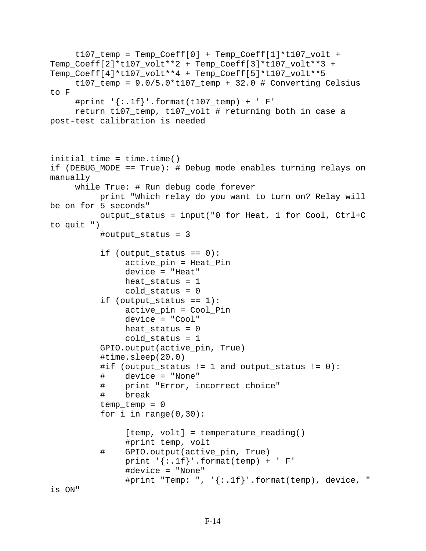```
t107_ttemp = Temp_Coeff[0] + Temp_Coeff[1]*t107_vvolt +
Temp_Coeff[2]*t107_volt**2 + Temp_Coeff[3]*t107_volt**3 + 
Temp_Coeff[4]*t107_volt**4 + Temp_Coeff[5]*t107_volt**5 
     t107_temp = 9.0/5.0* t107_temp + 32.0 # Converting Celsius
to F 
     #print '\{: .1f\}'.format(t107_temp) + ' F'
      return t107_temp, t107_volt # returning both in case a 
post-test calibration is needed 
initial time = time.time()
if (DEBUG_MODE == True): # Debug mode enables turning relays on 
manually 
      while True: # Run debug code forever 
           print "Which relay do you want to turn on? Relay will 
be on for 5 seconds" 
           output_status = input("0 for Heat, 1 for Cool, Ctrl+C 
to quit ") 
           #output_status = 3 
          if (output status == 0):
                active_pin = Heat_Pin 
                 device = "Heat" 
               heat status = 1cold status = 0if (output status == 1):
                active_pin = Cool_Pin 
                device = "Cool" 
               heat_status = 0cold status = 1 GPIO.output(active_pin, True) 
           #time.sleep(20.0) 
           #if (output_status != 1 and output_status != 0): 
           # device = "None" 
               print "Error, incorrect choice"
           # break 
           temp_temp = 0 
          for i in range(0,30):
                [temp, volt] = temperature_reading()
          #print temp, volt#<br># GPIO.output(activ#
               GPIO.output(active_pin, True)
                print '\{: .1f\}'.format(temp) + ' F'
                 #device = "None" 
                 #print "Temp: ", '{:.1f}'.format(temp), device, "
```

```
is ON"
```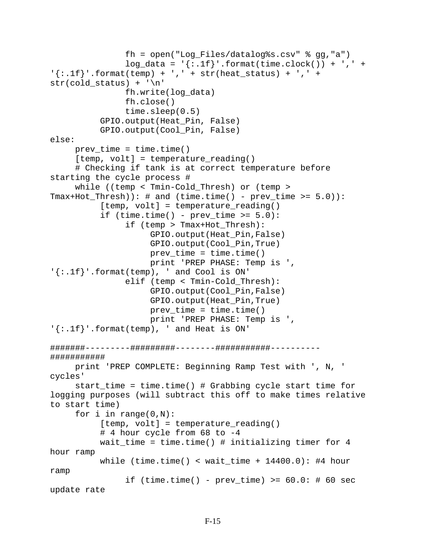```
 fh = open("Log_Files/datalog%s.csv" % gg,"a") 
                log\_data = [{:}.1f]'.format(time.clock()) + ',' +
'{':}.1f''.format(temp) + ', ' + str(head_status) + ', ' +str(cold_status) + '\n' 
                fh.write(log_data) 
                fh.close() 
                time.sleep(0.5) 
           GPIO.output(Heat_Pin, False) 
           GPIO.output(Cool_Pin, False) 
else: 
     prev_time = time.time() [temp, volt] = temperature_reading() 
      # Checking if tank is at correct temperature before 
starting the cycle process # 
      while ((temp < Tmin-Cold_Thresh) or (temp > 
Tmax+Hot_Thresh): # and (time.time() - prev_time \ge 5.0):
          [temp, volt] = temperature_reading()
          if (time.time() - prev_time >= 5.0):
                 if (temp > Tmax+Hot_Thresh): 
                      GPIO.output(Heat_Pin,False) 
                      GPIO.output(Cool_Pin,True) 
                     prev time = time.time()
                     print 'PREP PHASE: Temp is ', 
'{':}.1f''.format(temp), ' and Cool is ON' elif (temp < Tmin-Cold_Thresh): 
                      GPIO.output(Cool_Pin,False) 
                      GPIO.output(Heat_Pin,True) 
                     prev_time = time.time() print 'PREP PHASE: Temp is ', 
'{:.1f}'.format(temp), ' and Heat is ON' 
#######---------#########--------###########----------
########### 
      print 'PREP COMPLETE: Beginning Ramp Test with ', N, ' 
cycles' 
      start_time = time.time() # Grabbing cycle start time for 
logging purposes (will subtract this off to make times relative 
to start time) 
     for i in range(0,N):
          [temp, volt] = temperature_reading()
           # 4 hour cycle from 68 to -4 
           wait_time = time.time() # initializing timer for 4 
hour ramp 
          while (time.time() < wait_time + 14400.0): #4 hour
ramp 
               if (time.time() - prev_time) >= 60.0: # 60 secupdate rate
```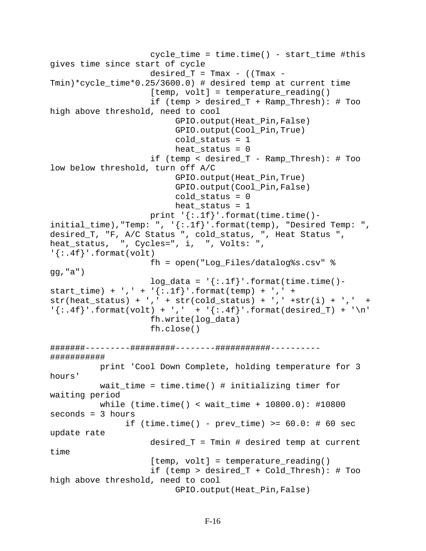```
 cycle_time = time.time() - start_time #this 
gives time since start of cycle 
                     desired_T = Tmax - ((Tmax -
Tmin)*cycle_time*0.25/3600.0) # desired temp at current time 
                     [temp, volt] = temperature reading() if (temp > desired_T + Ramp_Thresh): # Too 
high above threshold, need to cool 
                           GPIO.output(Heat_Pin,False) 
                           GPIO.output(Cool_Pin,True) 
                           cold status = 1heat_status = 0 if (temp < desired_T - Ramp_Thresh): # Too 
low below threshold, turn off A/C 
                           GPIO.output(Heat_Pin,True) 
                           GPIO.output(Cool_Pin,False) 
                           cold_status = 0 
                          heat status = 1print '\{: .1f\}'.format(time.time()-
initial_time), "Temp: ", \{ : .1f\}'.format(temp), "Desired Temp: ",
desired_T, "F, A/C Status ", cold_status, ", Heat Status ", 
heat_status, ", Cycles=", i, ", Volts: ", 
'{:.4f}'.format(volt) 
                      fh = open("Log_Files/datalog%s.csv" % 
gg,"a") 
                     log\_data = \{\text{':} \text{1f}\}\text{'.format}(\text{time.time})-\text{...}start_time) + ',' + '\{ : .1f\}' .format(temp) + ',' +
str(head_status) + ', ' + str(cold_status) + ', ' + str(i)'{': .4f}''.format(volt) + ',' + {'': .4f}''.format(desired_T) + '\n' fh.write(log_data) 
                      fh.close() 
#######---------#########--------###########----------
########### 
           print 'Cool Down Complete, holding temperature for 3 
hours' 
           wait_time = time.time() # initializing timer for 
waiting period 
           while (time.time() < wait_time + 10800.0): #10800 
seconds = 3 hours 
                if (time.time() - prev_time) >= 60.0:  # 60 secupdate rate 
                      desired_T = Tmin # desired temp at current 
time 
                     [temp, volt] = temperature_reading()
                      if (temp > desired_T + Cold_Thresh): # Too 
high above threshold, need to cool 
                           GPIO.output(Heat_Pin,False)
```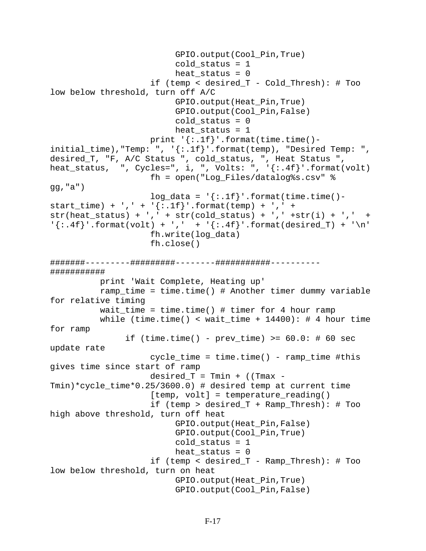```
 GPIO.output(Cool_Pin,True) 
                          cold status = 1heat status = 0 if (temp < desired_T - Cold_Thresh): # Too 
low below threshold, turn off A/C 
                           GPIO.output(Heat_Pin,True) 
                           GPIO.output(Cool_Pin,False) 
                           cold_status = 0 
                          heat_status = 1print '\{: .1f\}'.format(time.time()-
initial_time), "Temp: ", '\{:\text{lf}\}'.format(temp), "Desired Temp: ",
desired_T, "F, A/C Status ", cold_status, ", Heat Status ", 
heat_status, ", Cycles=", i, ", Volts: ", '{:.4f}'.format(volt) 
                      fh = open("Log_Files/datalog%s.csv" % 
gg,"a") 
                     log\_data = '\{:.1f\}''.format(time.time() -start_time) + ',' + '\{ : .1f\}' .format(temp) + ',' +
str(head_status) + ', ' + str(cold_status) + ', ' + str(i) + ', ' +'{': .4f'}'.format(volt) + ',' + {'}: .4f}''.format(desired_T) + '\n' fh.write(log_data) 
                      fh.close() 
#######---------#########--------###########----------
########### 
           print 'Wait Complete, Heating up' 
           ramp_time = time.time() # Another timer dummy variable 
for relative timing 
          wait_time = time.time() # timer for 4 hour ramp
          while (time.time() < wait_time + 14400): # 4 hour time
for ramp 
               if (time.time() - prev_time) >= 60.0: # 60 secupdate rate 
                      cycle_time = time.time() - ramp_time #this 
gives time since start of ramp 
                     desired T = Tmin + (Tmax -Tmin)*cycle_time*0.25/3600.0) # desired temp at current time 
                     [temp, volt] = temperature reading() if (temp > desired_T + Ramp_Thresh): # Too 
high above threshold, turn off heat 
                           GPIO.output(Heat_Pin,False) 
                           GPIO.output(Cool_Pin,True) 
                          cold status = 1heat status = 0 if (temp < desired_T - Ramp_Thresh): # Too 
low below threshold, turn on heat 
                           GPIO.output(Heat_Pin,True) 
                           GPIO.output(Cool_Pin,False)
```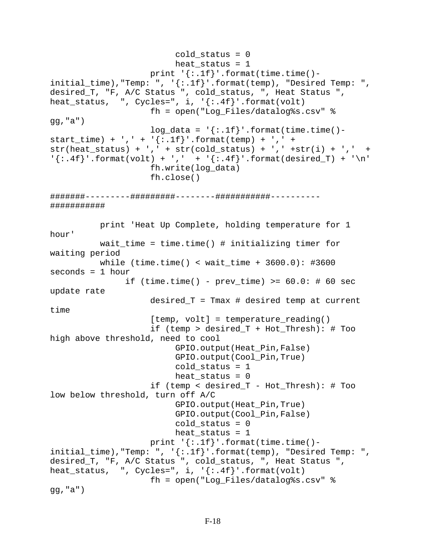```
cold status = 0heat status = 1print '\{: .1f\}'.format(time.time()-
initial_time), "Temp: ", '\{-.1f\}'.format(temp), "Desired Temp: ",
desired_T, "F, A/C Status ", cold_status, ", Heat Status ", 
heat_status, ", Cycles=", i, '\{:\text{.4f}\}\'.format(volt)
                      fh = open("Log_Files/datalog%s.csv" % 
gg,"a") 
                     log\_data = \{\text{':}.1f\}'.format(time.time()-
start_time) + ',' + '\{:\text{If}\}'.format(temp) + ',' +
str(head_status) + ', ' + str(cold_status) + ', ' + str(i) + ', ' +'{': .4f'}'.format(volt) + ',' + {'': .4f'}'.format(desired_T) + '\n' fh.write(log_data) 
                      fh.close() 
#######---------#########--------###########----------
########### 
           print 'Heat Up Complete, holding temperature for 1 
hour' 
           wait_time = time.time() # initializing timer for 
waiting period 
           while (time.time() < wait_time + 3600.0): #3600 
seconds = 1 hour 
                if (time.time() - prev_time) >= 60.0:  # 60 secupdate rate 
                      desired_T = Tmax # desired temp at current 
time 
                     [temp, volt] = temperature\_reading() if (temp > desired_T + Hot_Thresh): # Too 
high above threshold, need to cool 
                           GPIO.output(Heat_Pin,False) 
                           GPIO.output(Cool_Pin,True) 
                          cold status = 1heat status = 0 if (temp < desired_T - Hot_Thresh): # Too 
low below threshold, turn off A/C 
                           GPIO.output(Heat_Pin,True) 
                           GPIO.output(Cool_Pin,False) 
                           cold_status = 0 
                          heat_status = 1print '\{: .1f\}'.format(time.time()-
initial_time),"Temp: ", '{:.1f}'.format(temp), "Desired Temp: ", 
desired_T, "F, A/C Status ", cold_status, ", Heat Status ", 
heat_status, ", \cycles=' , i, ' {:. 4f}'.format(volt) fh = open("Log_Files/datalog%s.csv" % 
gg,"a")
```